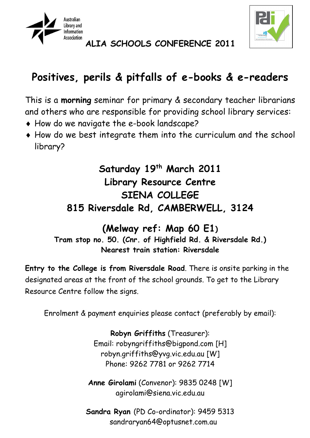



**ALIA SCHOOLS CONFERENCE 2011**

# **Positives, perils & pitfalls of e-books & e-readers**

This is a **morning** seminar for primary & secondary teacher librarians and others who are responsible for providing school library services:

- ♦ How do we navigate the e-book landscape?
- ♦ How do we best integrate them into the curriculum and the school library?

## **Saturday 19th March 2011 Library Resource Centre SIENA COLLEGE 815 Riversdale Rd, CAMBERWELL, 3124**

### **(Melway ref: Map 60 E1) Tram stop no. 50. (Cnr. of Highfield Rd. & Riversdale Rd.) Nearest train station: Riversdale**

**Entry to the College is from Riversdale Road**. There is onsite parking in the designated areas at the front of the school grounds. To get to the Library Resource Centre follow the signs.

Enrolment & payment enquiries please contact (preferably by email):

**Robyn Griffiths** (Treasurer): Email: robyngriffiths@bigpond.com [H] robyn.griffiths@yvg.vic.edu.au [W] Phone: 9262 7781 or 9262 7714

**Anne Girolami** (Convenor): 9835 0248 [W] [agirolami@siena.vic.edu.au](mailto:anneg@marcellin.melb.catholic.edu.au)

**Sandra Ryan** (PD Co-ordinator): 9459 5313 [sandraryan64@optusnet.com.au](mailto:sandraryan64@optusnet.com.au)